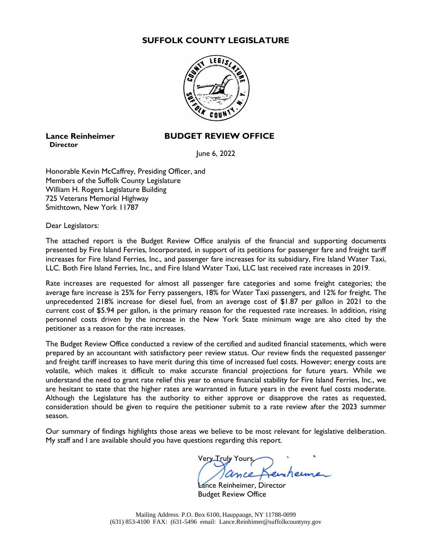# **SUFFOLK COUNTY LEGISLATURE**



# **Director**

# **Lance Reinheimer BUDGET REVIEW OFFICE**

June 6, 2022

Honorable Kevin McCaffrey, Presiding Officer, and Members of the Suffolk County Legislature William H. Rogers Legislature Building 725 Veterans Memorial Highway Smithtown, New York 11787

Dear Legislators:

The attached report is the Budget Review Office analysis of the financial and supporting documents presented by Fire Island Ferries, Incorporated, in support of its petitions for passenger fare and freight tariff increases for Fire Island Ferries, Inc., and passenger fare increases for its subsidiary, Fire Island Water Taxi, LLC. Both Fire Island Ferries, Inc., and Fire Island Water Taxi, LLC last received rate increases in 2019.

Rate increases are requested for almost all passenger fare categories and some freight categories; the average fare increase is 25% for Ferry passengers, 18% for Water Taxi passengers, and 12% for freight. The unprecedented 218% increase for diesel fuel, from an average cost of \$1.87 per gallon in 2021 to the current cost of \$5.94 per gallon, is the primary reason for the requested rate increases. In addition, rising personnel costs driven by the increase in the New York State minimum wage are also cited by the petitioner as a reason for the rate increases.

The Budget Review Office conducted a review of the certified and audited financial statements, which were prepared by an accountant with satisfactory peer review status. Our review finds the requested passenger and freight tariff increases to have merit during this time of increased fuel costs. However; energy costs are volatile, which makes it difficult to make accurate financial projections for future years. While we understand the need to grant rate relief this year to ensure financial stability for Fire Island Ferries, Inc., we are hesitant to state that the higher rates are warranted in future years in the event fuel costs moderate. Although the Legislature has the authority to either approve or disapprove the rates as requested, consideration should be given to require the petitioner submit to a rate review after the 2023 summer season.

Our summary of findings highlights those areas we believe to be most relevant for legislative deliberation. My staff and I are available should you have questions regarding this report.

Very Truly Yours,

ance Reinheimer, Director Budget Review Office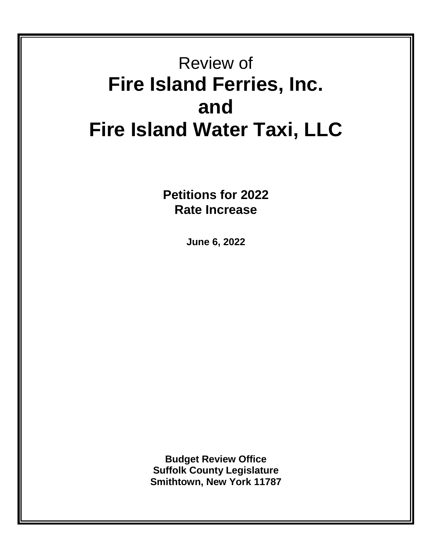# Review of **Fire Island Ferries, Inc. and Fire Island Water Taxi, LLC**

**Petitions for 2022 Rate Increase**

**June 6, 2022**

**Budget Review Office Suffolk County Legislature Smithtown, New York 11787**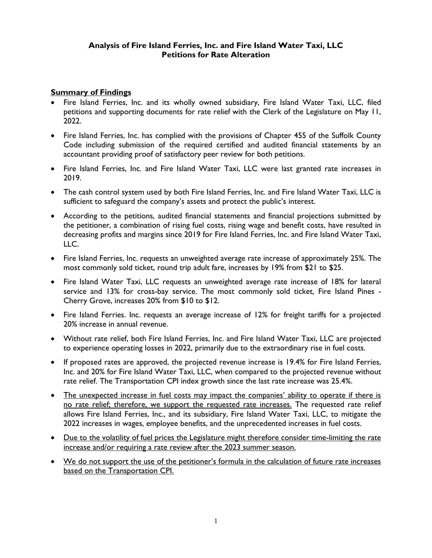# **Analysis of Fire Island Ferries, Inc. and Fire Island Water Taxi, LLC Petitions for Rate Alteration**

# **Summary of Findings**

- Fire Island Ferries, Inc. and its wholly owned subsidiary, Fire Island Water Taxi, LLC, filed petitions and supporting documents for rate relief with the Clerk of the Legislature on May 11, 2022.
- Fire Island Ferries, Inc. has complied with the provisions of Chapter 455 of the Suffolk County Code including submission of the required certified and audited financial statements by an accountant providing proof of satisfactory peer review for both petitions.
- Fire Island Ferries, Inc. and Fire Island Water Taxi, LLC were last granted rate increases in 2019.
- The cash control system used by both Fire Island Ferries, Inc. and Fire Island Water Taxi, LLC is sufficient to safeguard the company's assets and protect the public's interest.
- According to the petitions, audited financial statements and financial projections submitted by the petitioner, a combination of rising fuel costs, rising wage and benefit costs, have resulted in decreasing profits and margins since 2019 for Fire Island Ferries, Inc. and Fire Island Water Taxi, LLC.
- Fire Island Ferries, Inc. requests an unweighted average rate increase of approximately 25%. The most commonly sold ticket, round trip adult fare, increases by 19% from \$21 to \$25.
- Fire Island Water Taxi, LLC requests an unweighted average rate increase of 18% for lateral service and 13% for cross-bay service. The most commonly sold ticket, Fire Island Pines - Cherry Grove, increases 20% from \$10 to \$12.
- Fire Island Ferries. Inc. requests an average increase of 12% for freight tariffs for a projected 20% increase in annual revenue.
- Without rate relief, both Fire Island Ferries, Inc. and Fire Island Water Taxi, LLC are projected to experience operating losses in 2022, primarily due to the extraordinary rise in fuel costs.
- If proposed rates are approved, the projected revenue increase is 19.4% for Fire Island Ferries, Inc. and 20% for Fire Island Water Taxi, LLC, when compared to the projected revenue without rate relief. The Transportation CPI index growth since the last rate increase was 25.4%.
- The unexpected increase in fuel costs may impact the companies' ability to operate if there is no rate relief; therefore, we support the requested rate increases. The requested rate relief allows Fire Island Ferries, Inc., and its subsidiary, Fire Island Water Taxi, LLC, to mitigate the 2022 increases in wages, employee benefits, and the unprecedented increases in fuel costs.
- Due to the volatility of fuel prices the Legislature might therefore consider time-limiting the rate increase and/or requiring a rate review after the 2023 summer season.
- We do not support the use of the petitioner's formula in the calculation of future rate increases based on the Transportation CPI.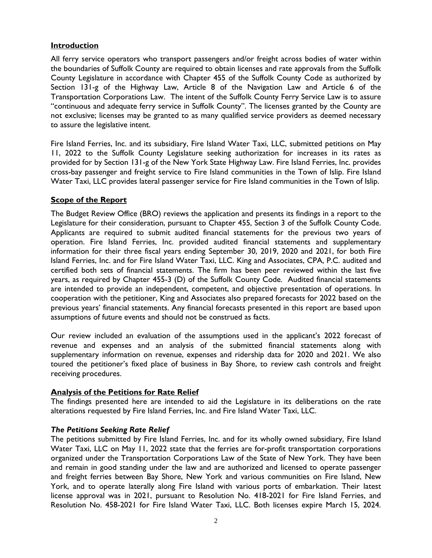# **Introduction**

All ferry service operators who transport passengers and/or freight across bodies of water within the boundaries of Suffolk County are required to obtain licenses and rate approvals from the Suffolk County Legislature in accordance with Chapter 455 of the Suffolk County Code as authorized by Section 131-g of the Highway Law, Article 8 of the Navigation Law and Article 6 of the Transportation Corporations Law. The intent of the Suffolk County Ferry Service Law is to assure "continuous and adequate ferry service in Suffolk County". The licenses granted by the County are not exclusive; licenses may be granted to as many qualified service providers as deemed necessary to assure the legislative intent.

Fire Island Ferries, Inc. and its subsidiary, Fire Island Water Taxi, LLC, submitted petitions on May 11, 2022 to the Suffolk County Legislature seeking authorization for increases in its rates as provided for by Section 131-g of the New York State Highway Law. Fire Island Ferries, Inc. provides cross-bay passenger and freight service to Fire Island communities in the Town of Islip. Fire Island Water Taxi, LLC provides lateral passenger service for Fire Island communities in the Town of Islip.

# **Scope of the Report**

The Budget Review Office (BRO) reviews the application and presents its findings in a report to the Legislature for their consideration, pursuant to Chapter 455, Section 3 of the Suffolk County Code. Applicants are required to submit audited financial statements for the previous two years of operation. Fire Island Ferries, Inc. provided audited financial statements and supplementary information for their three fiscal years ending September 30, 2019, 2020 and 2021, for both Fire Island Ferries, Inc. and for Fire Island Water Taxi, LLC. King and Associates, CPA, P.C. audited and certified both sets of financial statements. The firm has been peer reviewed within the last five years, as required by Chapter 455-3 (D) of the Suffolk County Code. Audited financial statements are intended to provide an independent, competent, and objective presentation of operations. In cooperation with the petitioner, King and Associates also prepared forecasts for 2022 based on the previous years' financial statements. Any financial forecasts presented in this report are based upon assumptions of future events and should not be construed as facts.

Our review included an evaluation of the assumptions used in the applicant's 2022 forecast of revenue and expenses and an analysis of the submitted financial statements along with supplementary information on revenue, expenses and ridership data for 2020 and 2021. We also toured the petitioner's fixed place of business in Bay Shore, to review cash controls and freight receiving procedures.

# **Analysis of the Petitions for Rate Relief**

The findings presented here are intended to aid the Legislature in its deliberations on the rate alterations requested by Fire Island Ferries, Inc. and Fire Island Water Taxi, LLC.

# *The Petitions Seeking Rate Relief*

The petitions submitted by Fire Island Ferries, Inc. and for its wholly owned subsidiary, Fire Island Water Taxi, LLC on May 11, 2022 state that the ferries are for-profit transportation corporations organized under the Transportation Corporations Law of the State of New York. They have been and remain in good standing under the law and are authorized and licensed to operate passenger and freight ferries between Bay Shore, New York and various communities on Fire Island, New York, and to operate laterally along Fire Island with various ports of embarkation. Their latest license approval was in 2021, pursuant to Resolution No. 418-2021 for Fire Island Ferries, and Resolution No. 458-2021 for Fire Island Water Taxi, LLC. Both licenses expire March 15, 2024.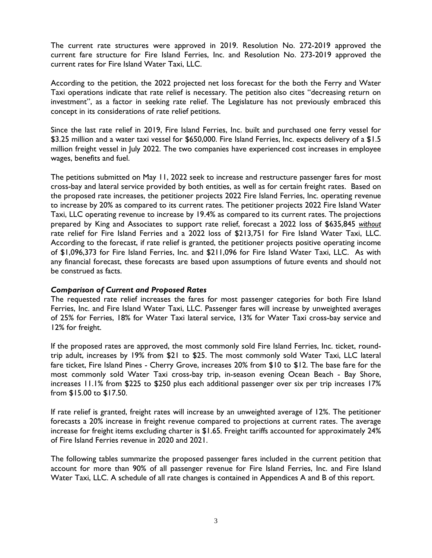The current rate structures were approved in 2019. Resolution No. 272-2019 approved the current fare structure for Fire Island Ferries, Inc. and Resolution No. 273-2019 approved the current rates for Fire Island Water Taxi, LLC.

According to the petition, the 2022 projected net loss forecast for the both the Ferry and Water Taxi operations indicate that rate relief is necessary. The petition also cites "decreasing return on investment", as a factor in seeking rate relief. The Legislature has not previously embraced this concept in its considerations of rate relief petitions.

Since the last rate relief in 2019, Fire Island Ferries, Inc. built and purchased one ferry vessel for \$3.25 million and a water taxi vessel for \$650,000. Fire Island Ferries, Inc. expects delivery of a \$1.5 million freight vessel in July 2022. The two companies have experienced cost increases in employee wages, benefits and fuel.

The petitions submitted on May 11, 2022 seek to increase and restructure passenger fares for most cross-bay and lateral service provided by both entities, as well as for certain freight rates. Based on the proposed rate increases, the petitioner projects 2022 Fire Island Ferries, Inc. operating revenue to increase by 20% as compared to its current rates. The petitioner projects 2022 Fire Island Water Taxi, LLC operating revenue to increase by 19.4% as compared to its current rates. The projections prepared by King and Associates to support rate relief, forecast a 2022 loss of \$635,845 *without* rate relief for Fire Island Ferries and a 2022 loss of \$213,751 for Fire Island Water Taxi, LLC. According to the forecast, if rate relief is granted, the petitioner projects positive operating income of \$1,096,373 for Fire Island Ferries, Inc. and \$211,096 for Fire Island Water Taxi, LLC. As with any financial forecast, these forecasts are based upon assumptions of future events and should not be construed as facts.

#### *Comparison of Current and Proposed Rates*

The requested rate relief increases the fares for most passenger categories for both Fire Island Ferries, Inc. and Fire Island Water Taxi, LLC. Passenger fares will increase by unweighted averages of 25% for Ferries, 18% for Water Taxi lateral service, 13% for Water Taxi cross-bay service and 12% for freight.

If the proposed rates are approved, the most commonly sold Fire Island Ferries, Inc. ticket, roundtrip adult, increases by 19% from \$21 to \$25. The most commonly sold Water Taxi, LLC lateral fare ticket, Fire Island Pines - Cherry Grove, increases 20% from \$10 to \$12. The base fare for the most commonly sold Water Taxi cross-bay trip, in-season evening Ocean Beach - Bay Shore, increases 11.1% from \$225 to \$250 plus each additional passenger over six per trip increases 17% from \$15.00 to \$17.50.

If rate relief is granted, freight rates will increase by an unweighted average of 12%. The petitioner forecasts a 20% increase in freight revenue compared to projections at current rates. The average increase for freight items excluding charter is \$1.65. Freight tariffs accounted for approximately 24% of Fire Island Ferries revenue in 2020 and 2021.

The following tables summarize the proposed passenger fares included in the current petition that account for more than 90% of all passenger revenue for Fire Island Ferries, Inc. and Fire Island Water Taxi, LLC. A schedule of all rate changes is contained in Appendices A and B of this report.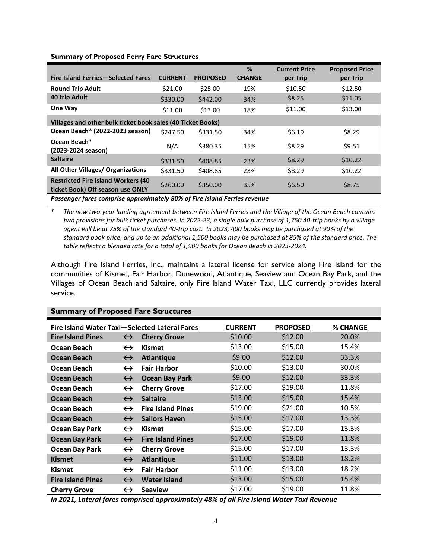#### **Fire Island Ferries—Selected Fares CURRENT PROPOSED % CHANGE Current Price per Trip Proposed Price per Trip Round Trip Adult 821.00** \$25.00 **19% \$10.50** \$12.50 **40 trip Adult 10 trip Adult** \$330.00 \$442.00 **34%** \$8.25 \$11.05 **One Way 611.00** \$13.00 **18%** \$11.00 \$13.00 **Villages and other bulk ticket book sales (40 Ticket Books) Ocean Beach\* (2022-2023 season)** \$247.50 \$331.50 34% \$6.19 \$8.29 **Ocean Beach\* CCEAN BEACH**<br>(2023-2024 season) N/A \$380.35 15% \$8.29 \$9.51 **Saltaire** \$10.22 \$331.50 \$408.85 \$8.29 \$10.22 **All Other Villages/ Organizations** \$331.50 \$408.85 23% \$8.29 \$10.22 **Restricted Fire Island Workers (40 ticket Book) Off season use ONLY** \$260.00 \$350.00 \$35% \$6.50 \$6.50 \$8.75 *Passenger fares comprise approximately 80% of Fire Island Ferries revenue*

**Summary of Proposed Ferry Fare Structures**

\* *The new two-year landing agreement between Fire Island Ferries and the Village of the Ocean Beach contains two provisions for bulk ticket purchases. In 2022-23, a single bulk purchase of 1,750 40-trip books by a village agent will be at 75% of the standard 40-trip cost. In 2023, 400 books may be purchased at 90% of the standard book price, and up to an additional 1,500 books may be purchased at 85% of the standard price. The table reflects a blended rate for a total of 1,900 books for Ocean Beach in 2023-2024.*

Although Fire Island Ferries, Inc., maintains a lateral license for service along Fire Island for the communities of Kismet, Fair Harbor, Dunewood, Atlantique, Seaview and Ocean Bay Park, and the Villages of Ocean Beach and Saltaire, only Fire Island Water Taxi, LLC currently provides lateral service.

| Juliului j                                    |                   |                          |                |                 |          |
|-----------------------------------------------|-------------------|--------------------------|----------------|-----------------|----------|
| Fire Island Water Taxi-Selected Lateral Fares |                   |                          | <b>CURRENT</b> | <b>PROPOSED</b> | % CHANGE |
| <b>Fire Island Pines</b>                      | $\leftrightarrow$ | <b>Cherry Grove</b>      | \$10.00        | \$12.00         | 20.0%    |
| Ocean Beach                                   | $\leftrightarrow$ | <b>Kismet</b>            | \$13.00        | \$15.00         | 15.4%    |
| <b>Ocean Beach</b>                            | $\leftrightarrow$ | <b>Atlantique</b>        | \$9.00         | \$12.00         | 33.3%    |
| Ocean Beach                                   | $\leftrightarrow$ | <b>Fair Harbor</b>       | \$10.00        | \$13.00         | 30.0%    |
| Ocean Beach                                   | $\leftrightarrow$ | <b>Ocean Bay Park</b>    | \$9.00         | \$12.00         | 33.3%    |
| Ocean Beach                                   | $\leftrightarrow$ | <b>Cherry Grove</b>      | \$17.00        | \$19.00         | 11.8%    |
| <b>Ocean Beach</b>                            | $\leftrightarrow$ | <b>Saltaire</b>          | \$13.00        | \$15.00         | 15.4%    |
| Ocean Beach                                   | $\leftrightarrow$ | <b>Fire Island Pines</b> | \$19.00        | \$21.00         | 10.5%    |
| <b>Ocean Beach</b>                            | $\leftrightarrow$ | <b>Sailors Haven</b>     | \$15.00        | \$17.00         | 13.3%    |
| <b>Ocean Bay Park</b>                         | $\leftrightarrow$ | <b>Kismet</b>            | \$15.00        | \$17.00         | 13.3%    |
| <b>Ocean Bay Park</b>                         | $\leftrightarrow$ | <b>Fire Island Pines</b> | \$17.00        | \$19.00         | 11.8%    |
| <b>Ocean Bay Park</b>                         | $\leftrightarrow$ | <b>Cherry Grove</b>      | \$15.00        | \$17.00         | 13.3%    |
| <b>Kismet</b>                                 | $\leftrightarrow$ | <b>Atlantique</b>        | \$11.00        | \$13.00         | 18.2%    |
| <b>Kismet</b>                                 | $\leftrightarrow$ | <b>Fair Harbor</b>       | \$11.00        | \$13.00         | 18.2%    |
| <b>Fire Island Pines</b>                      | $\leftrightarrow$ | <b>Water Island</b>      | \$13.00        | \$15.00         | 15.4%    |
| <b>Cherry Grove</b>                           | $\leftrightarrow$ | <b>Seaview</b>           | \$17.00        | \$19.00         | 11.8%    |

**Summary of Proposed Fare Structures**

*In 2021, Lateral fares comprised approximately 48% of all Fire Island Water Taxi Revenue*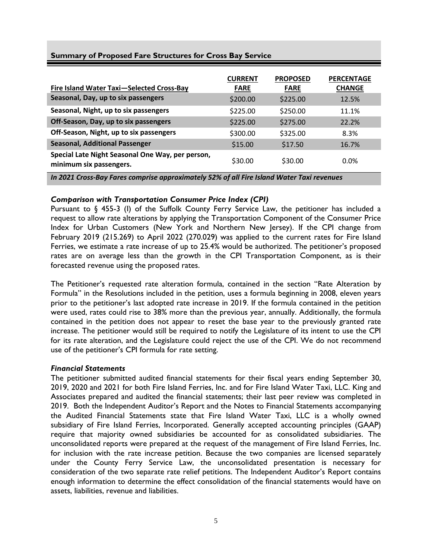| Fire Island Water Taxi-Selected Cross-Bay | <b>CURRENT</b><br><b>FARE</b> | <b>PROPOSED</b><br><b>FARE</b> | <b>PERCENTAGE</b><br><b>CHANGE</b> |
|-------------------------------------------|-------------------------------|--------------------------------|------------------------------------|
| Seasonal, Day, up to six passengers       | \$200.00                      | \$225.00                       | 12.5%                              |
| Seasonal, Night, up to six passengers     | \$225.00                      | \$250.00                       | 11.1%                              |
| Off-Season, Day, up to six passengers     | \$225.00                      | \$275.00                       | 22.2%                              |

**Off-Season, Night, up to six passengers**  $$300.00$  \$325.00 8.3% **Seasonal, Additional Passenger**  $\qquad 515.00$  \$17.50 16.7%

**minimum six passengers.**  $\frac{30.00}{530.00}$  \$30.00 0.0%

*In 2021 Cross-Bay Fares comprise approximately 52% of all Fire Island Water Taxi revenues*

# **Summary of Proposed Fare Structures for Cross Bay Service**

*Comparison with Transportation Consumer Price Index (CPI)*

**Special Late Night Seasonal One Way, per person,** 

Pursuant to § 455-3 (I) of the Suffolk County Ferry Service Law, the petitioner has included a request to allow rate alterations by applying the Transportation Component of the Consumer Price Index for Urban Customers (New York and Northern New Jersey). If the CPI change from February 2019 (215.269) to April 2022 (270.029) was applied to the current rates for Fire Island Ferries, we estimate a rate increase of up to 25.4% would be authorized. The petitioner's proposed rates are on average less than the growth in the CPI Transportation Component, as is their forecasted revenue using the proposed rates.

The Petitioner's requested rate alteration formula, contained in the section "Rate Alteration by Formula" in the Resolutions included in the petition, uses a formula beginning in 2008, eleven years prior to the petitioner's last adopted rate increase in 2019. If the formula contained in the petition were used, rates could rise to 38% more than the previous year, annually. Additionally, the formula contained in the petition does not appear to reset the base year to the previously granted rate increase. The petitioner would still be required to notify the Legislature of its intent to use the CPI for its rate alteration, and the Legislature could reject the use of the CPI. We do not recommend use of the petitioner's CPI formula for rate setting.

#### *Financial Statements*

The petitioner submitted audited financial statements for their fiscal years ending September 30, 2019, 2020 and 2021 for both Fire Island Ferries, Inc. and for Fire Island Water Taxi, LLC. King and Associates prepared and audited the financial statements; their last peer review was completed in 2019. Both the Independent Auditor's Report and the Notes to Financial Statements accompanying the Audited Financial Statements state that Fire Island Water Taxi, LLC is a wholly owned subsidiary of Fire Island Ferries, Incorporated. Generally accepted accounting principles (GAAP) require that majority owned subsidiaries be accounted for as consolidated subsidiaries. The unconsolidated reports were prepared at the request of the management of Fire Island Ferries, Inc. for inclusion with the rate increase petition. Because the two companies are licensed separately under the County Ferry Service Law, the unconsolidated presentation is necessary for consideration of the two separate rate relief petitions. The Independent Auditor's Report contains enough information to determine the effect consolidation of the financial statements would have on assets, liabilities, revenue and liabilities.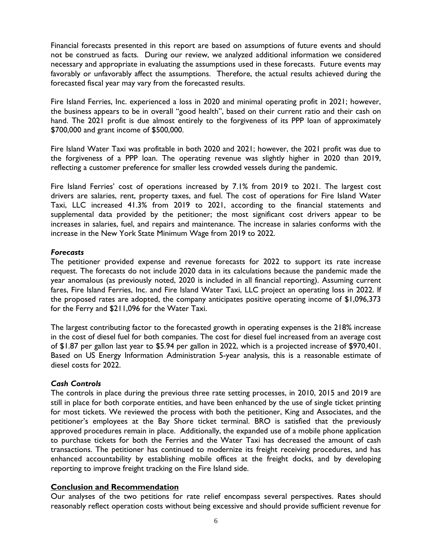Financial forecasts presented in this report are based on assumptions of future events and should not be construed as facts. During our review, we analyzed additional information we considered necessary and appropriate in evaluating the assumptions used in these forecasts. Future events may favorably or unfavorably affect the assumptions. Therefore, the actual results achieved during the forecasted fiscal year may vary from the forecasted results.

Fire Island Ferries, Inc. experienced a loss in 2020 and minimal operating profit in 2021; however, the business appears to be in overall "good health", based on their current ratio and their cash on hand. The 2021 profit is due almost entirely to the forgiveness of its PPP loan of approximately \$700,000 and grant income of \$500,000.

Fire Island Water Taxi was profitable in both 2020 and 2021; however, the 2021 profit was due to the forgiveness of a PPP loan. The operating revenue was slightly higher in 2020 than 2019, reflecting a customer preference for smaller less crowded vessels during the pandemic.

Fire Island Ferries' cost of operations increased by 7.1% from 2019 to 2021. The largest cost drivers are salaries, rent, property taxes, and fuel. The cost of operations for Fire Island Water Taxi, LLC increased 41.3% from 2019 to 2021, according to the financial statements and supplemental data provided by the petitioner; the most significant cost drivers appear to be increases in salaries, fuel, and repairs and maintenance. The increase in salaries conforms with the increase in the New York State Minimum Wage from 2019 to 2022.

# *Forecasts*

The petitioner provided expense and revenue forecasts for 2022 to support its rate increase request. The forecasts do not include 2020 data in its calculations because the pandemic made the year anomalous (as previously noted, 2020 is included in all financial reporting). Assuming current fares, Fire Island Ferries, Inc. and Fire Island Water Taxi, LLC project an operating loss in 2022. If the proposed rates are adopted, the company anticipates positive operating income of \$1,096,373 for the Ferry and \$211,096 for the Water Taxi.

The largest contributing factor to the forecasted growth in operating expenses is the 218% increase in the cost of diesel fuel for both companies. The cost for diesel fuel increased from an average cost of \$1.87 per gallon last year to \$5.94 per gallon in 2022, which is a projected increase of \$970,401. Based on US Energy Information Administration 5-year analysis, this is a reasonable estimate of diesel costs for 2022.

# *Cash Controls*

The controls in place during the previous three rate setting processes, in 2010, 2015 and 2019 are still in place for both corporate entities, and have been enhanced by the use of single ticket printing for most tickets. We reviewed the process with both the petitioner, King and Associates, and the petitioner's employees at the Bay Shore ticket terminal. BRO is satisfied that the previously approved procedures remain in place. Additionally, the expanded use of a mobile phone application to purchase tickets for both the Ferries and the Water Taxi has decreased the amount of cash transactions. The petitioner has continued to modernize its freight receiving procedures, and has enhanced accountability by establishing mobile offices at the freight docks, and by developing reporting to improve freight tracking on the Fire Island side.

# **Conclusion and Recommendation**

Our analyses of the two petitions for rate relief encompass several perspectives. Rates should reasonably reflect operation costs without being excessive and should provide sufficient revenue for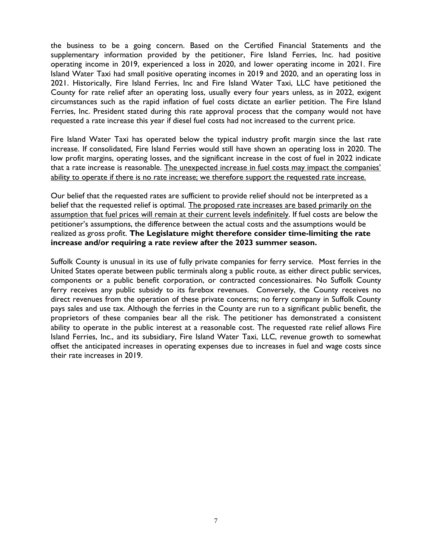the business to be a going concern. Based on the Certified Financial Statements and the supplementary information provided by the petitioner, Fire Island Ferries, Inc. had positive operating income in 2019, experienced a loss in 2020, and lower operating income in 2021. Fire Island Water Taxi had small positive operating incomes in 2019 and 2020, and an operating loss in 2021. Historically, Fire Island Ferries, Inc and Fire Island Water Taxi, LLC have petitioned the County for rate relief after an operating loss, usually every four years unless, as in 2022, exigent circumstances such as the rapid inflation of fuel costs dictate an earlier petition. The Fire Island Ferries, Inc. President stated during this rate approval process that the company would not have requested a rate increase this year if diesel fuel costs had not increased to the current price.

Fire Island Water Taxi has operated below the typical industry profit margin since the last rate increase. If consolidated, Fire Island Ferries would still have shown an operating loss in 2020. The low profit margins, operating losses, and the significant increase in the cost of fuel in 2022 indicate that a rate increase is reasonable. The unexpected increase in fuel costs may impact the companies' ability to operate if there is no rate increase; we therefore support the requested rate increase.

Our belief that the requested rates are sufficient to provide relief should not be interpreted as a belief that the requested relief is optimal. The proposed rate increases are based primarily on the assumption that fuel prices will remain at their current levels indefinitely. If fuel costs are below the petitioner's assumptions, the difference between the actual costs and the assumptions would be realized as gross profit. **The Legislature might therefore consider time-limiting the rate increase and/or requiring a rate review after the 2023 summer season.**

Suffolk County is unusual in its use of fully private companies for ferry service. Most ferries in the United States operate between public terminals along a public route, as either direct public services, components or a public benefit corporation, or contracted concessionaires. No Suffolk County ferry receives any public subsidy to its farebox revenues. Conversely, the County receives no direct revenues from the operation of these private concerns; no ferry company in Suffolk County pays sales and use tax. Although the ferries in the County are run to a significant public benefit, the proprietors of these companies bear all the risk. The petitioner has demonstrated a consistent ability to operate in the public interest at a reasonable cost. The requested rate relief allows Fire Island Ferries, Inc., and its subsidiary, Fire Island Water Taxi, LLC, revenue growth to somewhat offset the anticipated increases in operating expenses due to increases in fuel and wage costs since their rate increases in 2019.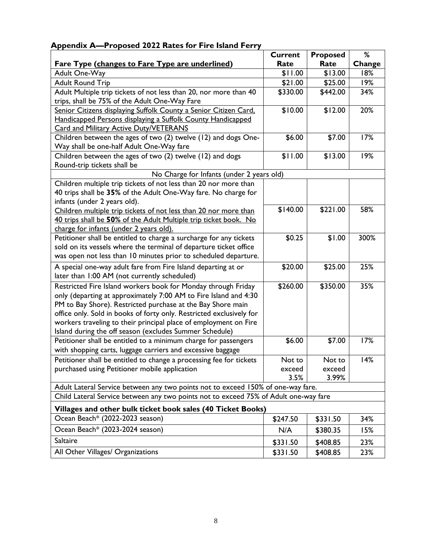|                                                                                      | <b>Current</b> | <b>Proposed</b> | %      |
|--------------------------------------------------------------------------------------|----------------|-----------------|--------|
| Fare Type (changes to Fare Type are underlined)                                      | Rate           | Rate            | Change |
| Adult One-Way                                                                        | \$11.00        | \$13.00         | 18%    |
| <b>Adult Round Trip</b>                                                              | \$21.00        | \$25.00         | 19%    |
| Adult Multiple trip tickets of not less than 20, nor more than 40                    | \$330.00       | \$442.00        | 34%    |
| trips, shall be 75% of the Adult One-Way Fare                                        |                |                 |        |
| Senior Citizens displaying Suffolk County a Senior Citizen Card.                     | \$10.00        | \$12.00         | 20%    |
| Handicapped Persons displaying a Suffolk County Handicapped                          |                |                 |        |
| <b>Card and Military Active Duty/VETERANS</b>                                        |                |                 |        |
| Children between the ages of two (2) twelve (12) and dogs One-                       | \$6.00         | \$7.00          | 17%    |
| Way shall be one-half Adult One-Way fare                                             |                |                 |        |
| Children between the ages of two (2) twelve (12) and dogs                            | \$11.00        | \$13.00         | 19%    |
| Round-trip tickets shall be<br>No Charge for Infants (under 2 years old)             |                |                 |        |
| Children multiple trip tickets of not less than 20 nor more than                     |                |                 |        |
| 40 trips shall be 35% of the Adult One-Way fare. No charge for                       |                |                 |        |
| infants (under 2 years old).                                                         |                |                 |        |
| Children multiple trip tickets of not less than 20 nor more than                     | \$140.00       | \$221.00        | 58%    |
| 40 trips shall be 50% of the Adult Multiple trip ticket book. No                     |                |                 |        |
| charge for infants (under 2 years old).                                              |                |                 |        |
| Petitioner shall be entitled to charge a surcharge for any tickets                   | \$0.25         | \$1.00          | 300%   |
| sold on its vessels where the terminal of departure ticket office                    |                |                 |        |
| was open not less than 10 minutes prior to scheduled departure.                      |                |                 |        |
| A special one-way adult fare from Fire Island departing at or                        | \$20.00        | \$25.00         | 25%    |
| later than 1:00 AM (not currently scheduled)                                         |                |                 |        |
| Restricted Fire Island workers book for Monday through Friday                        | \$260.00       | \$350.00        | 35%    |
| only (departing at approximately 7:00 AM to Fire Island and 4:30                     |                |                 |        |
| PM to Bay Shore). Restricted purchase at the Bay Shore main                          |                |                 |        |
| office only. Sold in books of forty only. Restricted exclusively for                 |                |                 |        |
| workers traveling to their principal place of employment on Fire                     |                |                 |        |
| Island during the off season (excludes Summer Schedule)                              |                |                 |        |
| Petitioner shall be entitled to a minimum charge for passengers                      | \$6.00         | \$7.00          | 17%    |
| with shopping carts, luggage carriers and excessive baggage                          |                |                 |        |
| Petitioner shall be entitled to change a processing fee for tickets                  | Not to         | Not to          | 14%    |
| purchased using Petitioner mobile application                                        | exceed         | exceed          |        |
| Adult Lateral Service between any two points not to exceed 150% of one-way fare.     | 3.5%           | 3.99%           |        |
| Child Lateral Service between any two points not to exceed 75% of Adult one-way fare |                |                 |        |
|                                                                                      |                |                 |        |
| Villages and other bulk ticket book sales (40 Ticket Books)                          |                |                 |        |
| Ocean Beach* (2022-2023 season)                                                      | \$247.50       | \$331.50        | 34%    |
| Ocean Beach* (2023-2024 season)                                                      | N/A            | \$380.35        | 15%    |
| Saltaire                                                                             | \$331.50       | \$408.85        | 23%    |
| All Other Villages/ Organizations                                                    | \$331.50       | \$408.85        | 23%    |

# **Appendix A—Proposed 2022 Rates for Fire Island Ferry**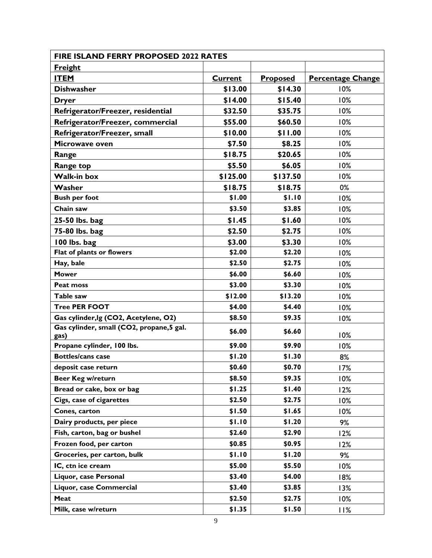| <b>FIRE ISLAND FERRY PROPOSED 2022 RATES</b>      |                |                 |                          |
|---------------------------------------------------|----------------|-----------------|--------------------------|
| <u>Freight</u>                                    |                |                 |                          |
| <b>ITEM</b>                                       | <b>Current</b> | <b>Proposed</b> | <b>Percentage Change</b> |
| <b>Dishwasher</b>                                 | \$13.00        | \$14.30         | 10%                      |
| Dryer                                             | \$14.00        | \$15.40         | 10%                      |
| Refrigerator/Freezer, residential                 | \$32.50        | \$35.75         | 10%                      |
| Refrigerator/Freezer, commercial                  | \$55.00        | \$60.50         | 10%                      |
| Refrigerator/Freezer, small                       | \$10.00        | \$11.00         | 10%                      |
| Microwave oven                                    | \$7.50         | \$8.25          | 10%                      |
| Range                                             | \$18.75        | \$20.65         | 10%                      |
| <b>Range top</b>                                  | \$5.50         | \$6.05          | 10%                      |
| <b>Walk-in box</b>                                | \$125.00       | \$137.50        | 10%                      |
| Washer                                            | \$18.75        | \$18.75         | 0%                       |
| <b>Bush per foot</b>                              | \$1.00         | \$1.10          | 10%                      |
| Chain saw                                         | \$3.50         | \$3.85          | 10%                      |
| 25-50 lbs. bag                                    | \$1.45         | \$1.60          | 10%                      |
| 75-80 lbs. bag                                    | \$2.50         | \$2.75          | 10%                      |
| 100 lbs. bag                                      | \$3.00         | \$3.30          | 10%                      |
| Flat of plants or flowers                         | \$2.00         | \$2.20          | 10%                      |
| Hay, bale                                         | \$2.50         | \$2.75          | 10%                      |
| <b>Mower</b>                                      | \$6.00         | \$6.60          | 10%                      |
| Peat moss                                         | \$3.00         | \$3.30          | 10%                      |
| Table saw                                         | \$12.00        | \$13.20         | 10%                      |
| <b>Tree PER FOOT</b>                              | \$4.00         | \$4.40          | 10%                      |
| Gas cylinder, lg (CO2, Acetylene, O2)             | \$8.50         | \$9.35          | 10%                      |
| Gas cylinder, small (CO2, propane, 5 gal.<br>gas) | \$6.00         | \$6.60          | 10%                      |
| Propane cylinder, 100 lbs.                        | \$9.00         | \$9.90          | 10%                      |
| <b>Bottles/cans case</b>                          | \$1.20         | \$1.30          | 8%                       |
| deposit case return                               | \$0.60         | \$0.70          | 17%                      |
| Beer Keg w/return                                 | \$8.50         | \$9.35          | 10%                      |
| Bread or cake, box or bag                         | \$1.25         | \$1.40          | 12%                      |
| Cigs, case of cigarettes                          | \$2.50         | \$2.75          | 10%                      |
| Cones, carton                                     | \$1.50         | \$1.65          | 10%                      |
| Dairy products, per piece                         | \$1.10         | \$1.20          | 9%                       |
| Fish, carton, bag or bushel                       | \$2.60         | \$2.90          | 12%                      |
| Frozen food, per carton                           | \$0.85         | \$0.95          | 12%                      |
| Groceries, per carton, bulk                       | \$1.10         | \$1.20          | 9%                       |
| IC, ctn ice cream                                 | \$5.00         | \$5.50          | 10%                      |
| Liquor, case Personal                             | \$3.40         | \$4.00          | 18%                      |
| Liquor, case Commercial                           | \$3.40         | \$3.85          | 13%                      |
| Meat                                              | \$2.50         | \$2.75          | 10%                      |
| Milk, case w/return                               | \$1.35         | \$1.50          | 11%                      |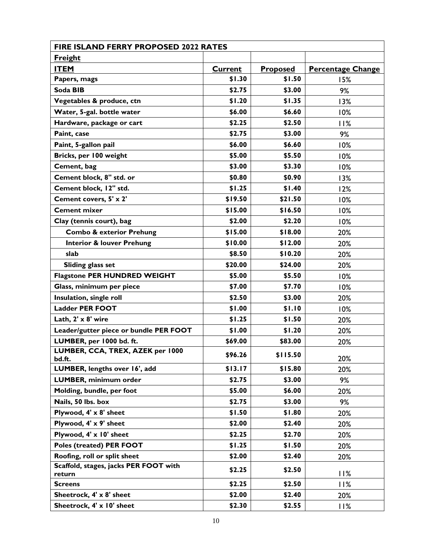| <b>FIRE ISLAND FERRY PROPOSED 2022 RATES</b>    |                |          |                          |
|-------------------------------------------------|----------------|----------|--------------------------|
| <b>Freight</b>                                  |                |          |                          |
| <b>ITEM</b>                                     | <b>Current</b> | Proposed | <b>Percentage Change</b> |
| Papers, mags                                    | \$1.30         | \$1.50   | 15%                      |
| Soda BIB                                        | \$2.75         | \$3.00   | 9%                       |
| Vegetables & produce, ctn                       | \$1.20         | \$1.35   | 13%                      |
| Water, 5-gal. bottle water                      | \$6.00         | \$6.60   | 10%                      |
| Hardware, package or cart                       | \$2.25         | \$2.50   | 11%                      |
| Paint, case                                     | \$2.75         | \$3.00   | 9%                       |
| Paint, 5-gallon pail                            | \$6.00         | \$6.60   | 10%                      |
| Bricks, per 100 weight                          | \$5.00         | \$5.50   | 10%                      |
| Cement, bag                                     | \$3.00         | \$3.30   | 10%                      |
| Cement block, 8" std. or                        | \$0.80         | \$0.90   | 13%                      |
| Cement block, 12" std.                          | \$1.25         | \$1.40   | 12%                      |
| Cement covers, 5' x 2'                          | \$19.50        | \$21.50  | 10%                      |
| <b>Cement mixer</b>                             | \$15.00        | \$16.50  | 10%                      |
| Clay (tennis court), bag                        | \$2.00         | \$2.20   | 10%                      |
| <b>Combo &amp; exterior Prehung</b>             | \$15.00        | \$18.00  | 20%                      |
| <b>Interior &amp; louver Prehung</b>            | \$10.00        | \$12.00  | 20%                      |
| slab                                            | \$8.50         | \$10.20  | 20%                      |
| Sliding glass set                               | \$20.00        | \$24.00  | 20%                      |
| <b>Flagstone PER HUNDRED WEIGHT</b>             | \$5.00         | \$5.50   | 10%                      |
| Glass, minimum per piece                        | \$7.00         | \$7.70   | 10%                      |
| Insulation, single roll                         | \$2.50         | \$3.00   | 20%                      |
| <b>Ladder PER FOOT</b>                          | \$1.00         | \$1.10   | 10%                      |
| Lath, 2' x 8' wire                              | \$1.25         | \$1.50   | 20%                      |
| Leader/gutter piece or bundle PER FOOT          | \$1.00         | \$1.20   | 20%                      |
| LUMBER, per 1000 bd. ft.                        | \$69.00        | \$83.00  | 20%                      |
| LUMBER, CCA, TREX, AZEK per 1000<br>bd.ft.      | \$96.26        | \$115.50 | 20%                      |
| LUMBER, lengths over 16', add                   | \$13.17        | \$15.80  | 20%                      |
| LUMBER, minimum order                           | \$2.75         | \$3.00   | 9%                       |
| Molding, bundle, per foot                       | \$5.00         | \$6.00   | 20%                      |
| Nails, 50 lbs. box                              | \$2.75         | \$3.00   | 9%                       |
| Plywood, 4' x 8' sheet                          | \$1.50         | \$1.80   | 20%                      |
| Plywood, 4' x 9' sheet                          | \$2.00         | \$2.40   | 20%                      |
| Plywood, 4' x 10' sheet                         | \$2.25         | \$2.70   | 20%                      |
| Poles (treated) PER FOOT                        | \$1.25         | \$1.50   | 20%                      |
| Roofing, roll or split sheet                    | \$2.00         | \$2.40   | 20%                      |
| Scaffold, stages, jacks PER FOOT with<br>return | \$2.25         | \$2.50   | 11%                      |
| <b>Screens</b>                                  | \$2.25         | \$2.50   | 11%                      |
| Sheetrock, 4' x 8' sheet                        | \$2.00         | \$2.40   | 20%                      |
| Sheetrock, 4' x 10' sheet                       | \$2.30         | \$2.55   | 11%                      |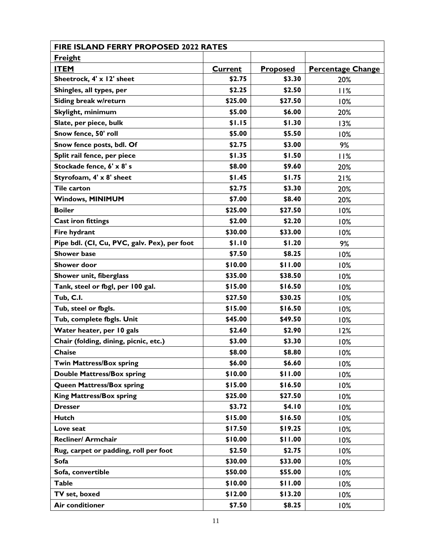| <b>FIRE ISLAND FERRY PROPOSED 2022 RATES</b> |                |                 |                          |
|----------------------------------------------|----------------|-----------------|--------------------------|
| Freight                                      |                |                 |                          |
| <b>ITEM</b>                                  | <b>Current</b> | <b>Proposed</b> | <b>Percentage Change</b> |
| Sheetrock, 4' x 12' sheet                    | \$2.75         | \$3.30          | 20%                      |
| Shingles, all types, per                     | \$2.25         | \$2.50          | 11%                      |
| Siding break w/return                        | \$25.00        | \$27.50         | 10%                      |
| Skylight, minimum                            | \$5.00         | \$6.00          | 20%                      |
| Slate, per piece, bulk                       | \$1.15         | \$1.30          | 13%                      |
| Snow fence, 50' roll                         | \$5.00         | \$5.50          | 10%                      |
| Snow fence posts, bdl. Of                    | \$2.75         | \$3.00          | 9%                       |
| Split rail fence, per piece                  | \$1.35         | \$1.50          | 11%                      |
| Stockade fence, 6' x 8' s                    | \$8.00         | \$9.60          | 20%                      |
| Styrofoam, 4' x 8' sheet                     | \$1.45         | \$1.75          | 21%                      |
| <b>Tile carton</b>                           | \$2.75         | \$3.30          | 20%                      |
| <b>Windows, MINIMUM</b>                      | \$7.00         | \$8.40          | 20%                      |
| <b>Boiler</b>                                | \$25.00        | \$27.50         | 10%                      |
| <b>Cast iron fittings</b>                    | \$2.00         | \$2.20          | 10%                      |
| Fire hydrant                                 | \$30.00        | \$33.00         | 10%                      |
| Pipe bdl. (CI, Cu, PVC, galv. Pex), per foot | \$1.10         | \$1.20          | 9%                       |
| <b>Shower base</b>                           | \$7.50         | \$8.25          | 10%                      |
| <b>Shower door</b>                           | \$10.00        | \$11.00         | 10%                      |
| Shower unit, fiberglass                      | \$35.00        | \$38.50         | 10%                      |
| Tank, steel or fbgl, per 100 gal.            | \$15.00        | \$16.50         | 10%                      |
| Tub, C.I.                                    | \$27.50        | \$30.25         | 10%                      |
| Tub, steel or fbgls.                         | \$15.00        | \$16.50         | 10%                      |
| Tub, complete fbgls. Unit                    | \$45.00        | \$49.50         | 10%                      |
| Water heater, per 10 gals                    | \$2.60         | \$2.90          | 12%                      |
| Chair (folding, dining, picnic, etc.)        | \$3.00         | \$3.30          | 10%                      |
| Chaise                                       | \$8.00         | \$8.80          | 10%                      |
| <b>Twin Mattress/Box spring</b>              | \$6.00         | \$6.60          | 10%                      |
| <b>Double Mattress/Box spring</b>            | \$10.00        | \$11.00         | 10%                      |
| <b>Queen Mattress/Box spring</b>             | \$15.00        | \$16.50         | 10%                      |
| <b>King Mattress/Box spring</b>              | \$25.00        | \$27.50         | 10%                      |
| <b>Dresser</b>                               | \$3.72         | \$4.10          | 10%                      |
| <b>Hutch</b>                                 | \$15.00        | \$16.50         | 10%                      |
| Love seat                                    | \$17.50        | \$19.25         | 10%                      |
| <b>Recliner/ Armchair</b>                    | \$10.00        | \$11.00         | 10%                      |
| Rug, carpet or padding, roll per foot        | \$2.50         | \$2.75          | 10%                      |
| Sofa                                         | \$30.00        | \$33.00         | 10%                      |
| Sofa, convertible                            | \$50.00        | \$55.00         | 10%                      |
| <b>Table</b>                                 | \$10.00        | \$11.00         | 10%                      |
| TV set, boxed                                | \$12.00        | \$13.20         | 10%                      |
| Air conditioner                              | \$7.50         | \$8.25          | 10%                      |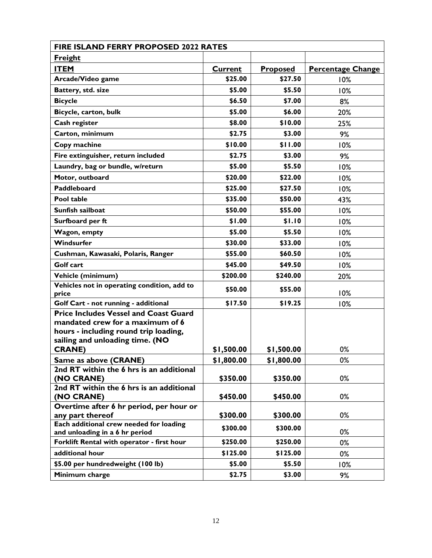| <b>FIRE ISLAND FERRY PROPOSED 2022 RATES</b>                                                                                                                                  |                |                 |                          |
|-------------------------------------------------------------------------------------------------------------------------------------------------------------------------------|----------------|-----------------|--------------------------|
| <b>Freight</b>                                                                                                                                                                |                |                 |                          |
| <b>ITEM</b>                                                                                                                                                                   | <b>Current</b> | <b>Proposed</b> | <b>Percentage Change</b> |
| Arcade/Video game                                                                                                                                                             | \$25.00        | \$27.50         | 10%                      |
| Battery, std. size                                                                                                                                                            | \$5.00         | \$5.50          | 10%                      |
| <b>Bicycle</b>                                                                                                                                                                | \$6.50         | \$7.00          | 8%                       |
| Bicycle, carton, bulk                                                                                                                                                         | \$5.00         | \$6.00          | 20%                      |
| Cash register                                                                                                                                                                 | \$8.00         | \$10.00         | 25%                      |
| Carton, minimum                                                                                                                                                               | \$2.75         | \$3.00          | 9%                       |
| Copy machine                                                                                                                                                                  | \$10.00        | \$11.00         | 10%                      |
| Fire extinguisher, return included                                                                                                                                            | \$2.75         | \$3.00          | 9%                       |
| Laundry, bag or bundle, w/return                                                                                                                                              | \$5.00         | \$5.50          | 10%                      |
| Motor, outboard                                                                                                                                                               | \$20.00        | \$22.00         | 10%                      |
| <b>Paddleboard</b>                                                                                                                                                            | \$25.00        | \$27.50         | 10%                      |
| Pool table                                                                                                                                                                    | \$35.00        | \$50.00         | 43%                      |
| Sunfish sailboat                                                                                                                                                              | \$50.00        | \$55.00         | 10%                      |
| Surfboard per ft                                                                                                                                                              | \$1.00         | \$1.10          | 10%                      |
| Wagon, empty                                                                                                                                                                  | \$5.00         | \$5.50          | 10%                      |
| Windsurfer                                                                                                                                                                    | \$30.00        | \$33.00         | 10%                      |
| Cushman, Kawasaki, Polaris, Ranger                                                                                                                                            | \$55.00        | \$60.50         | 10%                      |
| Golf cart                                                                                                                                                                     | \$45.00        | \$49.50         | 10%                      |
| Vehicle (minimum)                                                                                                                                                             | \$200.00       | \$240.00        | 20%                      |
| Vehicles not in operating condition, add to<br>price                                                                                                                          | \$50.00        | \$55.00         | 10%                      |
| Golf Cart - not running - additional                                                                                                                                          | \$17.50        | \$19.25         | 10%                      |
| <b>Price Includes Vessel and Coast Guard</b><br>mandated crew for a maximum of 6<br>hours - including round trip loading,<br>sailing and unloading time. (NO<br><b>CRANE)</b> | \$1,500.00     | \$1,500.00      | 0%                       |
| Same as above (CRANE)                                                                                                                                                         | \$1,800.00     | \$1,800.00      | 0%                       |
| 2nd RT within the 6 hrs is an additional<br>(NO CRANE)                                                                                                                        | \$350.00       | \$350.00        | 0%                       |
| 2nd RT within the 6 hrs is an additional<br>(NO CRANE)                                                                                                                        | \$450.00       | \$450.00        | 0%                       |
| Overtime after 6 hr period, per hour or<br>any part thereof                                                                                                                   | \$300.00       | \$300.00        | 0%                       |
| Each additional crew needed for loading<br>and unloading in a 6 hr period                                                                                                     | \$300.00       | \$300.00        | 0%                       |
| Forklift Rental with operator - first hour                                                                                                                                    | \$250.00       | \$250.00        | 0%                       |
| additional hour                                                                                                                                                               | \$125.00       | \$125.00        | 0%                       |
| \$5.00 per hundredweight (100 lb)                                                                                                                                             | \$5.00         | \$5.50          | 10%                      |
| Minimum charge                                                                                                                                                                | \$2.75         | \$3.00          | 9%                       |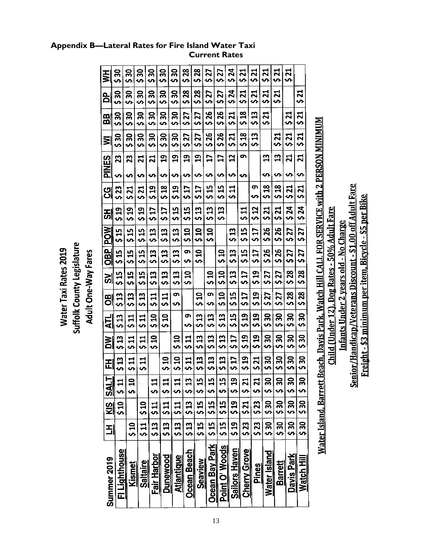| ⋚<br>g<br>BB        | ຘ<br>ခ္က<br>ς,<br>ခ္တ<br>Š, | ន្ល<br><b>S</b><br>ຘ<br>Š,<br>ິສ<br><b>S</b><br>႙ | ္က<br><b>S</b><br>ခ္က<br>U)<br>န္က<br>Ŝ,<br>႙ | ន្ល<br><b>S</b><br>႙<br>s,<br>႙<br>Š,<br>వ్గ | ႙<br>Ś,<br>န္က<br>S<br>ສ<br>S<br>ຘ | ິສ<br>s,<br>္က<br>s,<br>æ<br>Š,<br>္က | 28<br>s,<br>28<br><b>S</b><br>27<br>S,<br>27 | $\mathbf{z}^{\mathbf{z}}$<br>Š,<br>28<br>$\bullet$<br>27<br>Ś,<br>27 | 27<br>$\bullet$<br>77<br>s,<br>26<br>ທີ<br>26 | 27<br>Ś,<br>\$27<br>\$26<br>526 | 24<br><b>S</b><br>24<br>÷,<br>21<br>s, | ನ<br>S<br>ដ<br><b>S</b><br>$\frac{8}{1}$<br>S,<br>엮 | ನ<br>s,<br>521<br>13<br>ΰņ,<br>IJ | ನ<br>Š,<br><u>ដ</u><br>$\bullet$<br><u>ដ</u><br>$\bullet$ | 21<br>Š<br>ನ<br>ာ<br><u>ភ</u> | ನ<br>Šν.<br>21<br>ທ<br><u>ដ</u> | ដ<br>Š,<br><u>ដ</u><br>s,<br><u>ដ</u> |                                                                        |
|---------------------|-----------------------------|---------------------------------------------------|-----------------------------------------------|----------------------------------------------|------------------------------------|---------------------------------------|----------------------------------------------|----------------------------------------------------------------------|-----------------------------------------------|---------------------------------|----------------------------------------|-----------------------------------------------------|-----------------------------------|-----------------------------------------------------------|-------------------------------|---------------------------------|---------------------------------------|------------------------------------------------------------------------|
| ⋚<br>SNEN<br>Al     | 530<br>23<br>s              | Š,<br>23<br>m                                     | Š,<br>21<br>ဖာ                                | S,<br>ನ<br>s,                                | <b>S</b><br>g<br>n                 | s,<br>9<br>n.                         | $\bullet$<br>ဌာ<br>n                         | Ŝ,<br>9<br>s                                                         | s,<br>IJ<br>∽                                 | 17<br>÷,                        | 521<br>2<br>・                          | $\mathbf{v}$<br>თ<br>S                              | s,                                | 3)<br>ທ                                                   | S,<br>13<br>∽                 | <b>S</b><br>ដ<br>s              | S.<br>21<br>Ş                         | t Beach, Davis Park, Watch Hill CALL FOR SERVICE with 2 PERSON MINIMUM |
| ပ္ပ                 | \$23                        | Z<br><b>S</b>                                     | ភ្ន                                           | 91<br>ა                                      | 518                                | $\mathbf{a}$<br><u>ှ</u>              | 517                                          | 517                                                                  | H<br><b>un</b>                                | <u>្អ</u><br>S,                 | $\mathbf{r}$<br>s,                     |                                                     | ō<br>ပာ                           | 518                                                       | 518                           | <u>ដ</u><br>ທ                   | <u>ដ</u><br>Š.                        |                                                                        |
| 풊                   | 91<br>2                     | g<br>s,                                           | g<br><b>S</b>                                 | <b>S17</b>                                   | IJ<br>S,                           | E<br>s,                               | \$15                                         | 513                                                                  | 13<br>S,                                      | H<br>S,                         |                                        | <b>디</b>                                            | 512                               | 521                                                       | <b>Z21</b>                    | 24<br>s,                        | 24<br>Š,                              |                                                                        |
| <b>POW</b>          | 51<br>51                    | <u>្អុ</u><br>ŠΩ,                                 | 15<br>s,                                      | 13<br>÷,                                     | ဌ<br>S                             | 3<br><b>ی</b>                         | g<br>$\bullet$                               | $\mathbf{a}$<br>s,                                                   | $\mathbf{a}$<br>s,                            |                                 | 513                                    | 515<br>Ն                                            | 517                               | 926                                                       | \$26                          | \$27                            | 27<br>ς,                              |                                                                        |
| <b>OBD</b>          | 515                         | 15<br>U)                                          | 19<br>S)                                      | $\frac{3}{2}$                                | 513                                | $\mathbf{u}$<br>s,                    | m<br>s                                       | $\mathbf{a}$<br>$\bullet$                                            |                                               | ន<br>S,                         | 53<br>s,                               | \$15                                                | 17<br>s,                          | \$ 26                                                     | \$26                          | 27<br>$\bullet$                 | 27<br>υ,                              |                                                                        |
| ັດ                  | 515                         | 15<br>Š,                                          | ក្ដ<br>S                                      | 3)<br>S,                                     | 513                                | $\mathbf{u}$<br>S                     | $\mathbf{a}$<br>s,                           |                                                                      | $\mathbf{a}$<br>$\bullet$                     | $\mathbf{a}$<br><sub>S</sub>    | 3<br>$\bullet$                         | <b>SI7</b>                                          | $\mathbf{a}$<br>ς,                | 27<br>$\bullet$                                           | 21<br>$\bullet$               | 28<br>Ś                         | 23<br>$\bullet$                       |                                                                        |
| 8O                  | 513                         | \$13                                              | B<br>ς,                                       | $\frac{11}{2}$                               | $\frac{11}{2}$                     | თ<br>o.                               |                                              | $\mathbf{a}$<br>S,                                                   | g,<br>ာ                                       | $\mathbf{a}$<br><b>S</b>        | $\mathbf{5}$<br>S                      | <b>CTS</b>                                          | $\mathbf{a}$<br>S                 | 27<br><b>S</b>                                            | 27<br><b>S</b>                | $\mathbf{\hat{z}}$<br>S         | 28<br>᠊ᡃ                              |                                                                        |
| <b>ATL</b>          | 13<br>s,                    | $\mathbf{1}$<br>.<br>م                            | $\mathbf{u}$<br>s,                            | $\mathbf{a}$<br>Š,                           | ຊ<br>$\bullet$                     |                                       | ō<br>S,                                      | 513                                                                  | 513                                           | <u>ដ</u><br><b>S</b>            | 15<br>S,                               | 91<br>0                                             | ဌ<br>S,                           | ္က<br>s,                                                  | ႙<br>S                        | ຘ<br>÷n,                        | ္က<br>o.                              |                                                                        |
| ŠΜ                  | 513                         | $\mathbf{1}$<br>Š,                                | $\mathbf{u}$<br>'n                            | ្ញ<br>S                                      |                                    | g<br>s,                               | $\mathbf{1}$<br>s,                           | H<br>s,                                                              | 513                                           | g<br>š,                         | IJ<br>Š,                               | 519                                                 | \$19                              | ສ<br>Ş                                                    | ౚ<br>s,                       | အ<br>s,                         | ႙<br>ပာ                               |                                                                        |
| 田                   | $\mathbf{a}$<br>U)          | 11<br>s,                                          | $\mathbf{r}$<br>$\bullet$                     |                                              | $\mathbf{a}$<br>s,                 | $\frac{0}{2}$                         | $\mathbf{r}$<br>÷,                           | ဌ<br>s,                                                              | E<br>$\bullet$                                | E3<br>$\bullet$                 | \$17                                   | 519                                                 | 521                               | ສ<br>$\bullet$                                            | ္က<br>$\bullet$               | ສ<br>Š                          | ន្ល<br><b>S</b>                       |                                                                        |
| НI<br>$\frac{1}{2}$ | 5<br>11                     | 0                                                 |                                               | è                                            | $\frac{11}{11}$                    | d<br>ہے<br>ج                          | m<br>نڊ<br>ص                                 | ഗ<br>ಈ<br>S                                                          | u۱                                            | <u>ທ</u>                        | <b>O</b><br>1<br>υ,                    | 1<br>نہ<br>ج                                        | <b>S 21</b>                       | ვ<br>ა                                                    | 0<br>ō<br>s,                  | 0<br>m<br>υ,                    | 0<br>m<br>s,                          |                                                                        |
| <u>g</u>            | 9<br>5<br>>                 |                                                   | 01<br>0                                       | 511                                          | <b>511</b>                         | $\frac{1}{11}$                        | $\frac{13}{13}$                              | 515<br>9                                                             | 515<br>9                                      | 515<br>0                        | 519                                    | <b>รี</b><br>21                                     | \$23                              | ດ<br>ທີ                                                   | ი<br>ო                        | 530<br>ა                        | თ<br>ა                                |                                                                        |
| E                   |                             | $\frac{0}{2}$                                     | $\frac{11}{2}$                                | 313                                          | $\frac{1}{3}$                      | $\frac{2}{3}$                         | $\frac{2}{3}$                                | $\frac{15}{15}$                                                      | 515<br>31                                     | $\frac{15}{3}$                  | $\frac{19}{2}$                         | $\frac{23}{3}$                                      | $\frac{23}{5}$                    | $\frac{1}{2}$                                             | $\frac{1}{30}$                | ი<br>თ<br>თ                     | ი<br>ა                                |                                                                        |
| Summer 2019         | Fl Lighthouse               | Kismet                                            | <u>Saltaire</u>                               | Fair Harbor                                  | Dunewood                           | <b>Atlantique</b>                     | Ocean Beach                                  | <b>Seaview</b>                                                       | <b>Ocean Bay Park</b>                         | Point O' Woods                  | <b>Sailors Haven</b>                   | <b>Cherry Grove</b>                                 | <b>Pines</b>                      | Water Island                                              | <b>Barrett</b>                | Davis Park                      | Watch Hill                            |                                                                        |

Senior/Handicap/Veterans Discount - \$1.00 off Adult Fare Freight - \$3 minimum per item, Bicycle - \$5 per Bike

Child (Under 12), Dog Rates - 50% Adult Fare Infants Under 2 years old - No Charge

Suffolk County Legislature Water Taxi Rates 2019 Adult One-Way Fares

13

#### **Appendix B—Lateral Rates for Fire Island Water Taxi Current Rates**